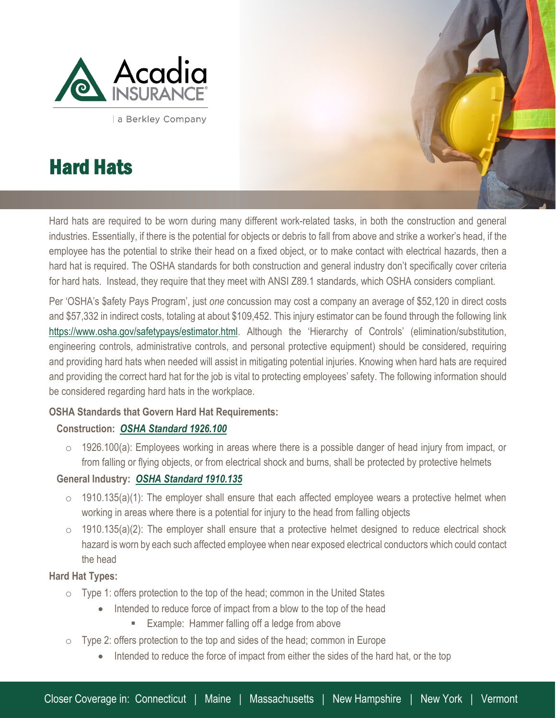

a Berkley Company

# Hard Hats

l

Hard hats are required to be worn during many different work-related tasks, in both the construction and general industries. Essentially, if there is the potential for objects or debris to fall from above and strike a worker's head, if the employee has the potential to strike their head on a fixed object, or to make contact with electrical hazards, then a hard hat is required. The OSHA standards for both construction and general industry don't specifically cover criteria for hard hats. Instead, they require that they meet with ANSI Z89.1 standards, which OSHA considers compliant.

Per 'OSHA's \$afety Pays Program', just *one* concussion may cost a company an average of \$52,120 in direct costs and \$57,332 in indirect costs, totaling at about \$109,452. This injury estimator can be found through the following link <https://www.osha.gov/safetypays/estimator.html>. Although the 'Hierarchy of Controls' (elimination/substitution, engineering controls, administrative controls, and personal protective equipment) should be considered, requiring and providing hard hats when needed will assist in mitigating potential injuries. Knowing when hard hats are required and providing the correct hard hat for the job is vital to protecting employees' safety. The following information should be considered regarding hard hats in the workplace.

# **OSHA Standards that Govern Hard Hat Requirements:**

# **Construction:** *[OSHA Standard 1926.100](https://www.osha.gov/laws-regs/regulations/standardnumber/1926/1926.100)*

1926.100(a): Employees working in areas where there is a possible danger of head injury from impact, or from falling or flying objects, or from electrical shock and burns, shall be protected by protective helmets

# **General Industry:** *[OSHA Standard 1910.135](https://www.osha.gov/laws-regs/regulations/standardnumber/1910/1910.135)*

- $\circ$  1910.135(a)(1): The employer shall ensure that each affected employee wears a protective helmet when working in areas where there is a potential for injury to the head from falling objects
- $\circ$  1910.135(a)(2): The employer shall ensure that a protective helmet designed to reduce electrical shock hazard is worn by each such affected employee when near exposed electrical conductors which could contact the head

# **Hard Hat Types:**

- o Type 1: offers protection to the top of the head; common in the United States
	- Intended to reduce force of impact from a blow to the top of the head
		- **Example: Hammer falling off a ledge from above**
- $\circ$  Type 2: offers protection to the top and sides of the head; common in Europe
	- Intended to reduce the force of impact from either the sides of the hard hat, or the top